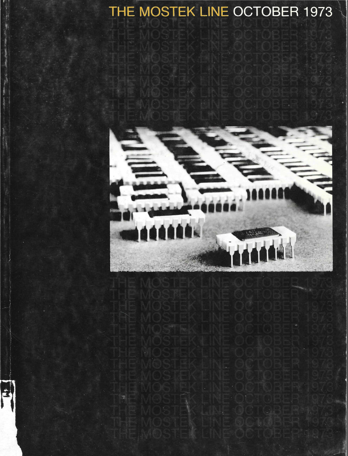## THE MOSTEK LINE OCTOBER 1973



É